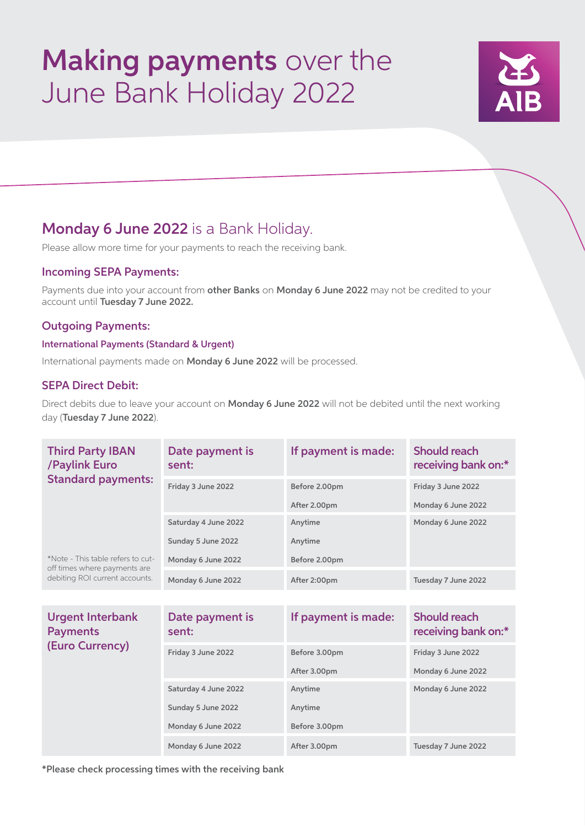# Making payments over the June Bank Holiday 2022



## Monday 6 June 2022 is a Bank Holiday.

Please allow more time for your payments to reach the receiving bank.

### Incoming SEPA Payments:

Payments due into your account from other Banks on Monday 6 June 2022 may not be credited to your account until Tuesday 7 June 2022.

### Outgoing Payments:

#### International Payments (Standard & Urgent)

International payments made on Monday 6 June 2022 will be processed.

### SEPA Direct Debit:

Direct debits due to leave your account on Monday 6 June 2022 will not be debited until the next working day (Tuesday 7 June 2022).

| <b>Third Party IBAN</b><br>/Paylink Euro<br><b>Standard payments:</b>                               | Date payment is<br>sent: | If payment is made: | <b>Should reach</b><br>receiving bank on:* |
|-----------------------------------------------------------------------------------------------------|--------------------------|---------------------|--------------------------------------------|
|                                                                                                     | Friday 3 June 2022       | Before 2.00pm       | Friday 3 June 2022                         |
|                                                                                                     |                          | After 2.00pm        | Monday 6 June 2022                         |
|                                                                                                     | Saturday 4 June 2022     | Anytime             | Monday 6 June 2022                         |
|                                                                                                     | Sunday 5 June 2022       | Anytime             |                                            |
| *Note - This table refers to cut-<br>off times where payments are<br>debiting ROI current accounts. | Monday 6 June 2022       | Before 2.00pm       |                                            |
|                                                                                                     | Monday 6 June 2022       | After 2:00pm        | Tuesday 7 June 2022                        |
|                                                                                                     |                          |                     |                                            |
| <b>Urgent Interbank</b><br><b>Payments</b><br>(Euro Currency)                                       | Date payment is<br>sent: | If payment is made: | <b>Should reach</b><br>receiving bank on:* |
|                                                                                                     | Friday 3 June 2022       | Before 3.00pm       | Friday 3 June 2022                         |
|                                                                                                     |                          | After 3.00pm        | Monday 6 June 2022                         |
|                                                                                                     | Saturday 4 June 2022     | Anytime             | Monday 6 June 2022                         |
|                                                                                                     | Sunday 5 June 2022       | Anytime             |                                            |
|                                                                                                     | Monday 6 June 2022       | Before 3.00pm       |                                            |
|                                                                                                     | Monday 6 June 2022       | After 3.00pm        | Tuesday 7 June 2022                        |

\*Please check processing times with the receiving bank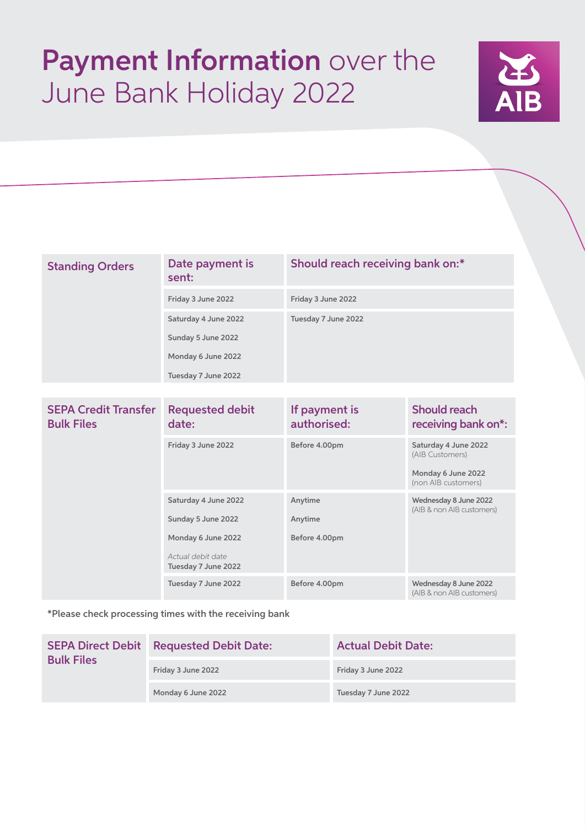# Payment Information over the June Bank Holiday 2022



| <b>Standing Orders</b> | Date payment is<br>sent: | Should reach receiving bank on:* |
|------------------------|--------------------------|----------------------------------|
|                        | Friday 3 June 2022       | Friday 3 June 2022               |
|                        | Saturday 4 June 2022     | Tuesday 7 June 2022              |
|                        | Sunday 5 June 2022       |                                  |
|                        | Monday 6 June 2022       |                                  |
|                        | Tuesday 7 June 2022      |                                  |
|                        |                          |                                  |

| <b>SEPA Credit Transfer</b><br><b>Bulk Files</b> | <b>Requested debit</b><br>date:                                                                              | If payment is<br>authorised:        | <b>Should reach</b><br>receiving bank on*:                                           |
|--------------------------------------------------|--------------------------------------------------------------------------------------------------------------|-------------------------------------|--------------------------------------------------------------------------------------|
|                                                  | Friday 3 June 2022                                                                                           | Before 4.00pm                       | Saturday 4 June 2022<br>(AIB Customers)<br>Monday 6 June 2022<br>(non AIB customers) |
|                                                  | Saturday 4 June 2022<br>Sunday 5 June 2022<br>Monday 6 June 2022<br>Actual debit date<br>Tuesday 7 June 2022 | Anytime<br>Anytime<br>Before 4.00pm | Wednesday 8 June 2022<br>(AIB & non AIB customers)                                   |
|                                                  | Tuesday 7 June 2022                                                                                          | Before 4.00pm                       | Wednesday 8 June 2022<br>(AIB & non AIB customers)                                   |

\*Please check processing times with the receiving bank

| <b>SEPA Direct Debit</b><br><b>Bulk Files</b> | <b>Requested Debit Date:</b> | <b>Actual Debit Date:</b> |  |
|-----------------------------------------------|------------------------------|---------------------------|--|
|                                               | Friday 3 June 2022           | Friday 3 June 2022        |  |
|                                               | Monday 6 June 2022           | Tuesday 7 June 2022       |  |